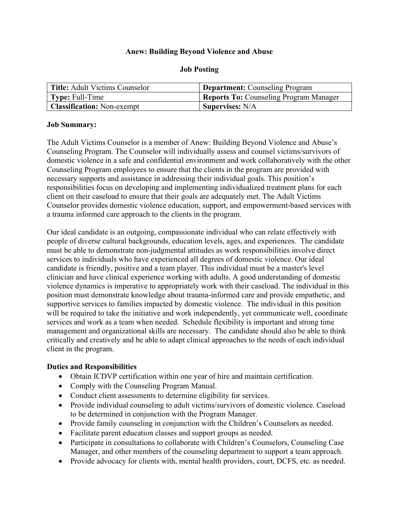### Anew: Building Beyond Violence and Abuse

| <b>Title:</b> Adult Victims Counselor | <b>Department:</b> Counseling Program  |
|---------------------------------------|----------------------------------------|
| <b>Type:</b> Full-Time                | Reports To: Counseling Program Manager |
| <b>Classification:</b> Non-exempt     | <b>Supervises: N/A</b>                 |

#### Job Posting

#### Job Summary:

The Adult Victims Counselor is a member of Anew: Building Beyond Violence and Abuse's Counseling Program. The Counselor will individually assess and counsel victims/survivors of domestic violence in a safe and confidential environment and work collaboratively with the other Counseling Program employees to ensure that the clients in the program are provided with necessary supports and assistance in addressing their individual goals. This position's responsibilities focus on developing and implementing individualized treatment plans for each client on their caseload to ensure that their goals are adequately met. The Adult Victims Counselor provides domestic violence education, support, and empowerment-based services with a trauma informed care approach to the clients in the program.

Our ideal candidate is an outgoing, compassionate individual who can relate effectively with people of diverse cultural backgrounds, education levels, ages, and experiences. The candidate must be able to demonstrate non-judgmental attitudes as work responsibilities involve direct services to individuals who have experienced all degrees of domestic violence. Our ideal candidate is friendly, positive and a team player. This individual must be a master's level clinician and have clinical experience working with adults. A good understanding of domestic violence dynamics is imperative to appropriately work with their caseload. The individual in this position must demonstrate knowledge about trauma-informed care and provide empathetic, and supportive services to families impacted by domestic violence. The individual in this position will be required to take the initiative and work independently, yet communicate well, coordinate services and work as a team when needed. Schedule flexibility is important and strong time management and organizational skills are necessary. The candidate should also be able to think critically and creatively and be able to adapt clinical approaches to the needs of each individual client in the program.

#### Duties and Responsibilities

- Obtain ICDVP certification within one year of hire and maintain certification.
- Comply with the Counseling Program Manual.
- Conduct client assessments to determine eligibility for services.
- Provide individual counseling to adult victims/survivors of domestic violence. Caseload to be determined in conjunction with the Program Manager.
- Provide family counseling in conjunction with the Children's Counselors as needed.
- Facilitate parent education classes and support groups as needed.
- Participate in consultations to collaborate with Children's Counselors, Counseling Case Manager, and other members of the counseling department to support a team approach.
- Provide advocacy for clients with, mental health providers, court, DCFS, etc. as needed.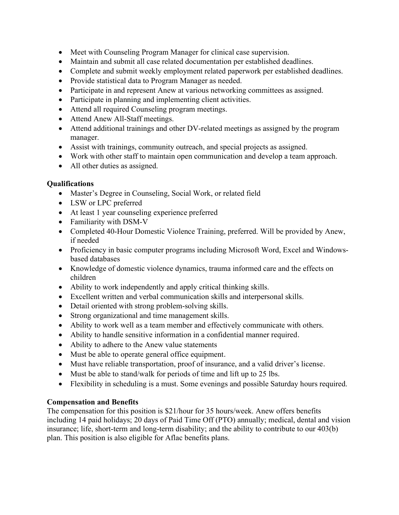- Meet with Counseling Program Manager for clinical case supervision.
- Maintain and submit all case related documentation per established deadlines.
- Complete and submit weekly employment related paperwork per established deadlines.
- Provide statistical data to Program Manager as needed.
- Participate in and represent Anew at various networking committees as assigned.
- Participate in planning and implementing client activities.
- Attend all required Counseling program meetings.
- Attend Anew All-Staff meetings.
- Attend additional trainings and other DV-related meetings as assigned by the program manager.
- Assist with trainings, community outreach, and special projects as assigned.
- Work with other staff to maintain open communication and develop a team approach.
- All other duties as assigned.

## Qualifications

- Master's Degree in Counseling, Social Work, or related field
- LSW or LPC preferred
- At least 1 year counseling experience preferred
- Familiarity with DSM-V
- Completed 40-Hour Domestic Violence Training, preferred. Will be provided by Anew, if needed
- Proficiency in basic computer programs including Microsoft Word, Excel and Windowsbased databases
- Knowledge of domestic violence dynamics, trauma informed care and the effects on children
- Ability to work independently and apply critical thinking skills.
- Excellent written and verbal communication skills and interpersonal skills.
- Detail oriented with strong problem-solving skills.
- Strong organizational and time management skills.
- Ability to work well as a team member and effectively communicate with others.
- Ability to handle sensitive information in a confidential manner required.
- Ability to adhere to the Anew value statements
- Must be able to operate general office equipment.
- Must have reliable transportation, proof of insurance, and a valid driver's license.
- Must be able to stand/walk for periods of time and lift up to 25 lbs.
- Flexibility in scheduling is a must. Some evenings and possible Saturday hours required.

# Compensation and Benefits

The compensation for this position is \$21/hour for 35 hours/week. Anew offers benefits including 14 paid holidays; 20 days of Paid Time Off (PTO) annually; medical, dental and vision insurance; life, short-term and long-term disability; and the ability to contribute to our 403(b) plan. This position is also eligible for Aflac benefits plans.